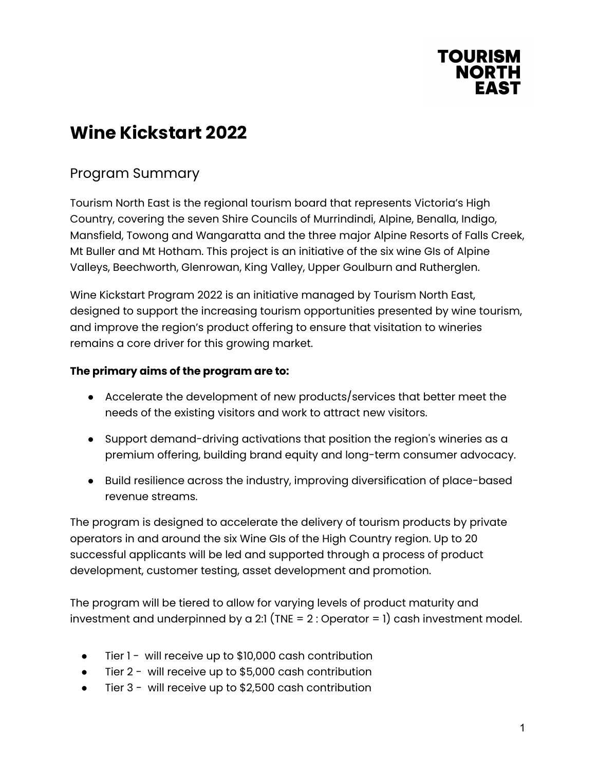

# **Wine Kickstart 2022**

#### Program Summary

Tourism North East is the regional tourism board that represents Victoria's High Country, covering the seven Shire Councils of Murrindindi, Alpine, Benalla, Indigo, Mansfield, Towong and Wangaratta and the three major Alpine Resorts of Falls Creek, Mt Buller and Mt Hotham. This project is an initiative of the six wine GIs of Alpine Valleys, Beechworth, Glenrowan, King Valley, Upper Goulburn and Rutherglen.

Wine Kickstart Program 2022 is an initiative managed by Tourism North East, designed to support the increasing tourism opportunities presented by wine tourism, and improve the region's product offering to ensure that visitation to wineries remains a core driver for this growing market.

#### **The primary aims of the program are to:**

- Accelerate the development of new products/services that better meet the needs of the existing visitors and work to attract new visitors.
- Support demand-driving activations that position the region's wineries as a premium offering, building brand equity and long-term consumer advocacy.
- Build resilience across the industry, improving diversification of place-based revenue streams.

The program is designed to accelerate the delivery of tourism products by private operators in and around the six Wine GIs of the High Country region. Up to 20 successful applicants will be led and supported through a process of product development, customer testing, asset development and promotion.

The program will be tiered to allow for varying levels of product maturity and investment and underpinned by a 2:1 (TNE =  $2:$  Operator = 1) cash investment model.

- Tier 1 will receive up to \$10,000 cash contribution
- Tier 2 will receive up to \$5,000 cash contribution
- Tier 3 will receive up to \$2,500 cash contribution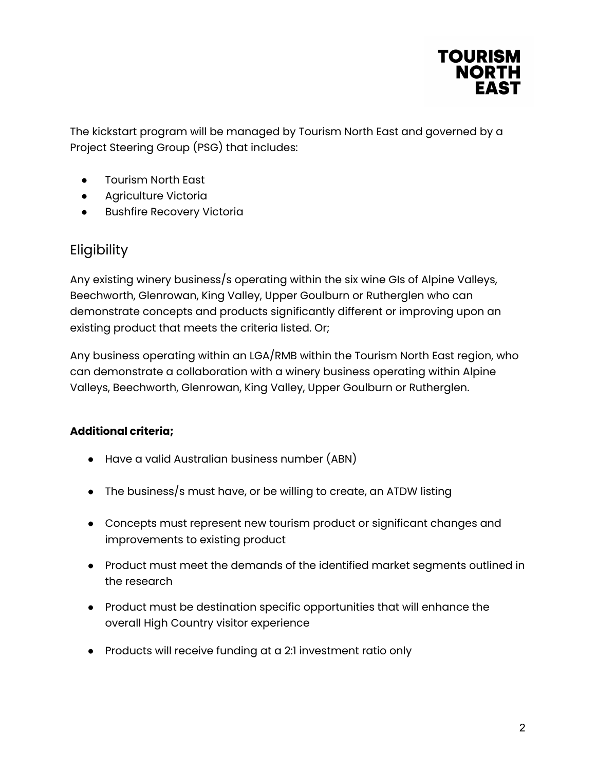

The kickstart program will be managed by Tourism North East and governed by a Project Steering Group (PSG) that includes:

- Tourism North East
- Agriculture Victoria
- **Bushfire Recovery Victoria**

## Eligibility

Any existing winery business/s operating within the six wine GIs of Alpine Valleys, Beechworth, Glenrowan, King Valley, Upper Goulburn or Rutherglen who can demonstrate concepts and products significantly different or improving upon an existing product that meets the criteria listed. Or;

Any business operating within an LGA/RMB within the Tourism North East region, who can demonstrate a collaboration with a winery business operating within Alpine Valleys, Beechworth, Glenrowan, King Valley, Upper Goulburn or Rutherglen.

#### **Additional criteria;**

- Have a valid Australian business number (ABN)
- The business/s must have, or be willing to create, an ATDW listing
- Concepts must represent new tourism product or significant changes and improvements to existing product
- Product must meet the demands of the identified market segments outlined in the research
- Product must be destination specific opportunities that will enhance the overall High Country visitor experience
- Products will receive funding at a 2:1 investment ratio only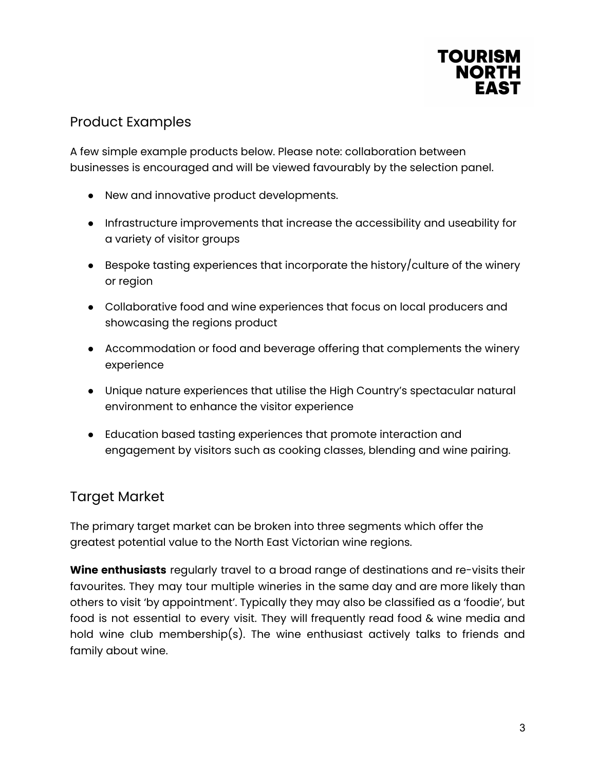

#### Product Examples

A few simple example products below. Please note: collaboration between businesses is encouraged and will be viewed favourably by the selection panel.

- New and innovative product developments.
- Infrastructure improvements that increase the accessibility and useability for a variety of visitor groups
- Bespoke tasting experiences that incorporate the history/culture of the winery or region
- Collaborative food and wine experiences that focus on local producers and showcasing the regions product
- Accommodation or food and beverage offering that complements the winery experience
- Unique nature experiences that utilise the High Country's spectacular natural environment to enhance the visitor experience
- Education based tasting experiences that promote interaction and engagement by visitors such as cooking classes, blending and wine pairing.

### Target Market

The primary target market can be broken into three segments which offer the greatest potential value to the North East Victorian wine regions.

**Wine enthusiasts** regularly travel to a broad range of destinations and re-visits their favourites. They may tour multiple wineries in the same day and are more likely than others to visit 'by appointment'. Typically they may also be classified as a 'foodie', but food is not essential to every visit. They will frequently read food & wine media and hold wine club membership(s). The wine enthusiast actively talks to friends and family about wine.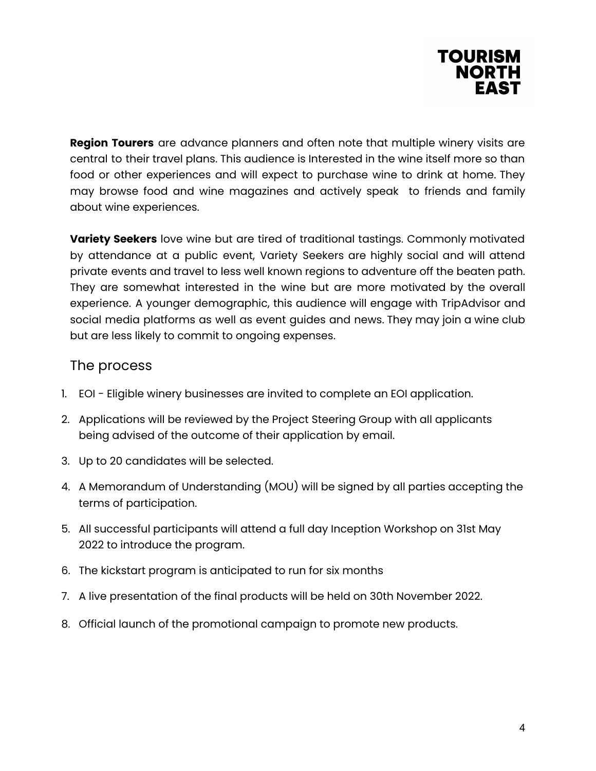

**Region Tourers** are advance planners and often note that multiple winery visits are central to their travel plans. This audience is Interested in the wine itself more so than food or other experiences and will expect to purchase wine to drink at home. They may browse food and wine magazines and actively speak to friends and family about wine experiences.

**Variety Seekers** love wine but are tired of traditional tastings. Commonly motivated by attendance at a public event, Variety Seekers are highly social and will attend private events and travel to less well known regions to adventure off the beaten path. They are somewhat interested in the wine but are more motivated by the overall experience. A younger demographic, this audience will engage with TripAdvisor and social media platforms as well as event guides and news. They may join a wine club but are less likely to commit to ongoing expenses.

#### The process

- 1. EOI Eligible winery businesses are invited to complete an EOI application.
- 2. Applications will be reviewed by the Project Steering Group with all applicants being advised of the outcome of their application by email.
- 3. Up to 20 candidates will be selected.
- 4. A Memorandum of Understanding (MOU) will be signed by all parties accepting the terms of participation.
- 5. All successful participants will attend a full day Inception Workshop on 31st May 2022 to introduce the program.
- 6. The kickstart program is anticipated to run for six months
- 7. A live presentation of the final products will be held on 30th November 2022.
- 8. Official launch of the promotional campaign to promote new products.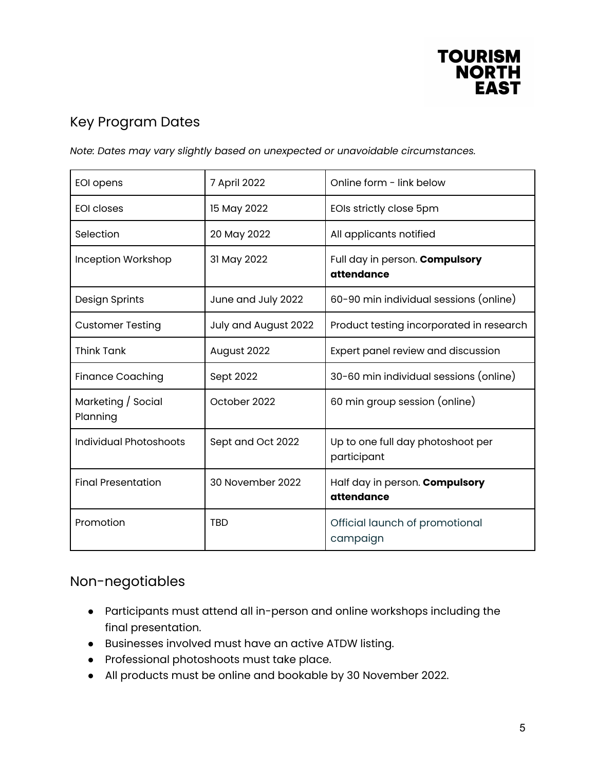

## Key Program Dates

*Note: Dates may vary slightly based on unexpected or unavoidable circumstances.*

| EOI opens                      | 7 April 2022         | Online form - link below                         |
|--------------------------------|----------------------|--------------------------------------------------|
| <b>EOI</b> closes              | 15 May 2022          | EOIs strictly close 5pm                          |
| Selection                      | 20 May 2022          | All applicants notified                          |
| <b>Inception Workshop</b>      | 31 May 2022          | Full day in person. Compulsory<br>attendance     |
| Design Sprints                 | June and July 2022   | 60-90 min individual sessions (online)           |
| <b>Customer Testing</b>        | July and August 2022 | Product testing incorporated in research         |
| <b>Think Tank</b>              | August 2022          | Expert panel review and discussion               |
| <b>Finance Coaching</b>        | Sept 2022            | 30-60 min individual sessions (online)           |
| Marketing / Social<br>Planning | October 2022         | 60 min group session (online)                    |
| <b>Individual Photoshoots</b>  | Sept and Oct 2022    | Up to one full day photoshoot per<br>participant |
| <b>Final Presentation</b>      | 30 November 2022     | Half day in person. Compulsory<br>attendance     |
| Promotion                      | <b>TBD</b>           | Official launch of promotional<br>campaign       |

#### Non-negotiables

- Participants must attend all in-person and online workshops including the final presentation.
- Businesses involved must have an active ATDW listing.
- Professional photoshoots must take place.
- All products must be online and bookable by 30 November 2022.